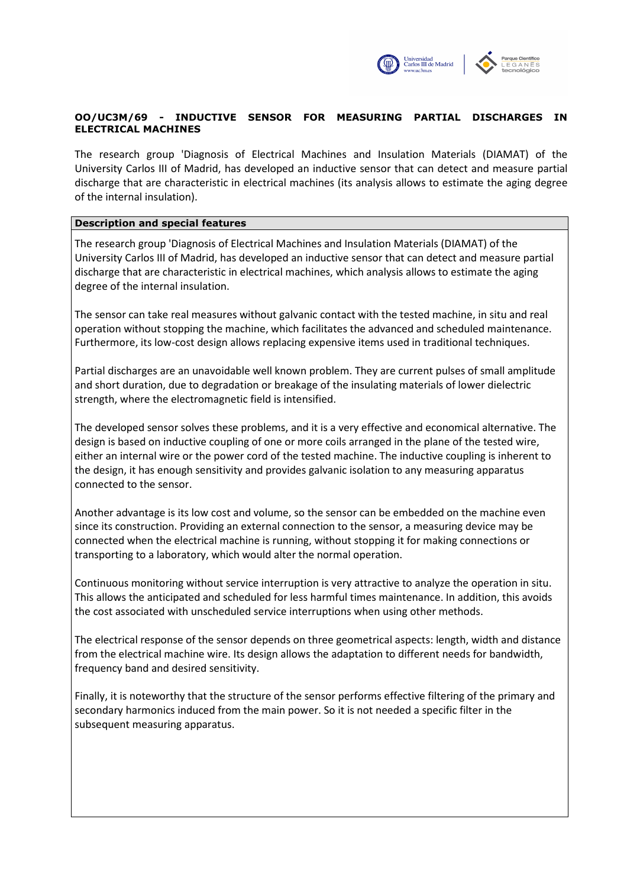

# OO/UC3M/69 - INDUCTIVE SENSOR FOR MEASURING PARTIAL DISCHARGES IN ELECTRICAL MACHINES

The research group 'Diagnosis of Electrical Machines and Insulation Materials (DIAMAT) of the University Carlos III of Madrid, has developed an inductive sensor that can detect and measure partial discharge that are characteristic in electrical machines (its analysis allows to estimate the aging degree of the internal insulation).

## Description and special features

The research group 'Diagnosis of Electrical Machines and Insulation Materials (DIAMAT) of the University Carlos III of Madrid, has developed an inductive sensor that can detect and measure partial discharge that are characteristic in electrical machines, which analysis allows to estimate the aging degree of the internal insulation.

The sensor can take real measures without galvanic contact with the tested machine, in situ and real operation without stopping the machine, which facilitates the advanced and scheduled maintenance. Furthermore, its low-cost design allows replacing expensive items used in traditional techniques.

Partial discharges are an unavoidable well known problem. They are current pulses of small amplitude and short duration, due to degradation or breakage of the insulating materials of lower dielectric strength, where the electromagnetic field is intensified.

The developed sensor solves these problems, and it is a very effective and economical alternative. The design is based on inductive coupling of one or more coils arranged in the plane of the tested wire, either an internal wire or the power cord of the tested machine. The inductive coupling is inherent to the design, it has enough sensitivity and provides galvanic isolation to any measuring apparatus connected to the sensor.

Another advantage is its low cost and volume, so the sensor can be embedded on the machine even since its construction. Providing an external connection to the sensor, a measuring device may be connected when the electrical machine is running, without stopping it for making connections or transporting to a laboratory, which would alter the normal operation.

Continuous monitoring without service interruption is very attractive to analyze the operation in situ. This allows the anticipated and scheduled for less harmful times maintenance. In addition, this avoids the cost associated with unscheduled service interruptions when using other methods.

The electrical response of the sensor depends on three geometrical aspects: length, width and distance from the electrical machine wire. Its design allows the adaptation to different needs for bandwidth, frequency band and desired sensitivity.

Finally, it is noteworthy that the structure of the sensor performs effective filtering of the primary and secondary harmonics induced from the main power. So it is not needed a specific filter in the subsequent measuring apparatus.